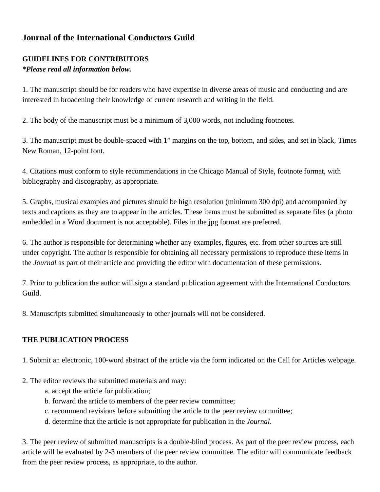## **Journal of the International Conductors Guild**

## **GUIDELINES FOR CONTRIBUTORS**

## *\*Please read all information below.*

1. The manuscript should be for readers who have expertise in diverse areas of music and conducting and are interested in broadening their knowledge of current research and writing in the field.

2. The body of the manuscript must be a minimum of 3,000 words, not including footnotes.

3. The manuscript must be double-spaced with 1" margins on the top, bottom, and sides, and set in black, Times New Roman, 12-point font.

4. Citations must conform to style recommendations in the Chicago Manual of Style, footnote format, with bibliography and discography, as appropriate.

5. Graphs, musical examples and pictures should be high resolution (minimum 300 dpi) and accompanied by texts and captions as they are to appear in the articles. These items must be submitted as separate files (a photo embedded in a Word document is not acceptable). Files in the jpg format are preferred.

6. The author is responsible for determining whether any examples, figures, etc. from other sources are still under copyright. The author is responsible for obtaining all necessary permissions to reproduce these items in the *Journal* as part of their article and providing the editor with documentation of these permissions.

7. Prior to publication the author will sign a standard publication agreement with the International Conductors Guild.

8. Manuscripts submitted simultaneously to other journals will not be considered.

## **THE PUBLICATION PROCESS**

1. Submit an electronic, 100-word abstract of the article via the form indicated on the Call for Articles webpage.

- 2. The editor reviews the submitted materials and may:
	- a. accept the article for publication;
	- b. forward the article to members of the peer review committee;
	- c. recommend revisions before submitting the article to the peer review committee;
	- d. determine that the article is not appropriate for publication in the *Journal*.

3. The peer review of submitted manuscripts is a double-blind process. As part of the peer review process, each article will be evaluated by 2-3 members of the peer review committee. The editor will communicate feedback from the peer review process, as appropriate, to the author.